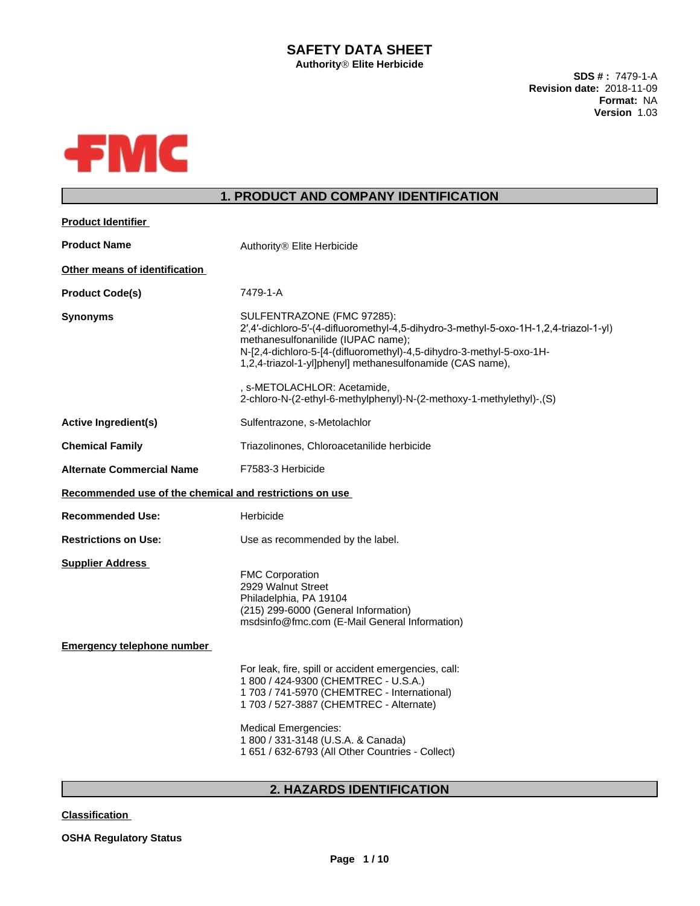# **SAFETY DATA SHEET**

**AuthorityÒElite Herbicide**

**SDS # :** 7479-1-A **Revision date:** 2018-11-09 **Format:** NA **Version** 1.03



# **1. PRODUCT AND COMPANY IDENTIFICATION**

| <b>Product Identifier</b>                               |                                                                                                                                                                                                                                                                                                                               |
|---------------------------------------------------------|-------------------------------------------------------------------------------------------------------------------------------------------------------------------------------------------------------------------------------------------------------------------------------------------------------------------------------|
| <b>Product Name</b>                                     | Authority <sup>®</sup> Elite Herbicide                                                                                                                                                                                                                                                                                        |
| Other means of identification                           |                                                                                                                                                                                                                                                                                                                               |
| <b>Product Code(s)</b>                                  | 7479-1-A                                                                                                                                                                                                                                                                                                                      |
| <b>Synonyms</b>                                         | SULFENTRAZONE (FMC 97285):<br>2',4'-dichloro-5'-(4-difluoromethyl-4,5-dihydro-3-methyl-5-oxo-1H-1,2,4-triazol-1-yl)<br>methanesulfonanilide (IUPAC name);<br>N-[2,4-dichloro-5-[4-(difluoromethyl)-4,5-dihydro-3-methyl-5-oxo-1H-<br>1,2,4-triazol-1-yl]phenyl] methanesulfonamide (CAS name),<br>, s-METOLACHLOR: Acetamide, |
|                                                         | 2-chloro-N-(2-ethyl-6-methylphenyl)-N-(2-methoxy-1-methylethyl)-,(S)                                                                                                                                                                                                                                                          |
| <b>Active Ingredient(s)</b>                             | Sulfentrazone, s-Metolachlor                                                                                                                                                                                                                                                                                                  |
| <b>Chemical Family</b>                                  | Triazolinones, Chloroacetanilide herbicide                                                                                                                                                                                                                                                                                    |
| <b>Alternate Commercial Name</b>                        | F7583-3 Herbicide                                                                                                                                                                                                                                                                                                             |
| Recommended use of the chemical and restrictions on use |                                                                                                                                                                                                                                                                                                                               |
| <b>Recommended Use:</b>                                 | Herbicide                                                                                                                                                                                                                                                                                                                     |
| <b>Restrictions on Use:</b>                             | Use as recommended by the label.                                                                                                                                                                                                                                                                                              |
| <b>Supplier Address</b>                                 | <b>FMC Corporation</b><br>2929 Walnut Street<br>Philadelphia, PA 19104<br>(215) 299-6000 (General Information)<br>msdsinfo@fmc.com (E-Mail General Information)                                                                                                                                                               |
| <b>Emergency telephone number</b>                       |                                                                                                                                                                                                                                                                                                                               |
|                                                         | For leak, fire, spill or accident emergencies, call:<br>1 800 / 424-9300 (CHEMTREC - U.S.A.)<br>1 703 / 741-5970 (CHEMTREC - International)<br>1 703 / 527-3887 (CHEMTREC - Alternate)<br><b>Medical Emergencies:</b><br>1 800 / 331-3148 (U.S.A. & Canada)<br>1 651 / 632-6793 (All Other Countries - Collect)               |
|                                                         |                                                                                                                                                                                                                                                                                                                               |

# **2. HAZARDS IDENTIFICATION**

**Classification**

**OSHA Regulatory Status**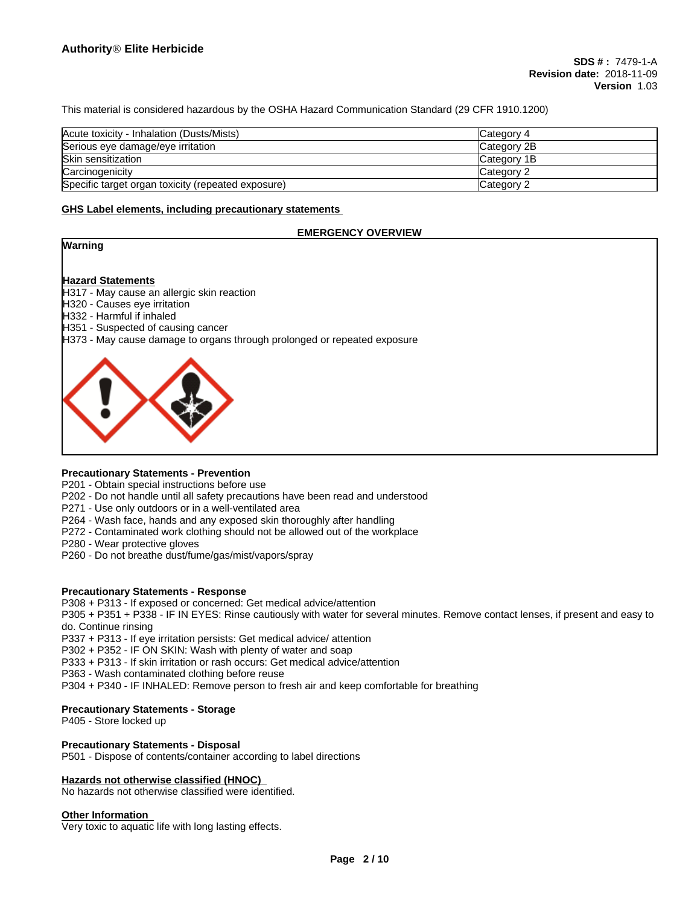This material is considered hazardous by the OSHA Hazard Communication Standard (29 CFR 1910.1200)

| Acute toxicity - Inhalation (Dusts/Mists)          | Category 4  |
|----------------------------------------------------|-------------|
| Serious eye damage/eye irritation                  | Category 2B |
| Skin sensitization                                 | Category 1B |
| Carcinogenicity                                    | Category 2  |
| Specific target organ toxicity (repeated exposure) | Category 2  |

#### **GHS Label elements, including precautionary statements**

#### **EMERGENCY OVERVIEW**



#### **Hazard Statements**

H317 - May cause an allergic skin reaction

- H320 Causes eye irritation
- H332 Harmful if inhaled
- H351 Suspected of causing cancer
- H373 May cause damage to organs through prolonged or repeated exposure



## **Precautionary Statements - Prevention**

P201 - Obtain special instructions before use

- P202 Do not handle until all safety precautions have been read and understood
- P271 Use only outdoors or in a well-ventilated area
- P264 Wash face, hands and any exposed skin thoroughly after handling
- P272 Contaminated work clothing should not be allowed out of the workplace
- P280 Wear protective gloves
- P260 Do not breathe dust/fume/gas/mist/vapors/spray

### **Precautionary Statements - Response**

P308 + P313 - If exposed or concerned: Get medical advice/attention

P305 + P351 + P338 - IF IN EYES: Rinse cautiously with water forseveral minutes. Remove contact lenses, if present and easy to do. Continue rinsing

P337 + P313 - If eye irritation persists: Get medical advice/ attention

P302 + P352 - IF ON SKIN: Wash with plenty of water and soap

P333 + P313 - If skin irritation or rash occurs: Get medical advice/attention

P363 - Wash contaminated clothing before reuse

P304 + P340 - IF INHALED: Remove person to fresh air and keep comfortable for breathing

#### **Precautionary Statements - Storage**

P405 - Store locked up

#### **Precautionary Statements - Disposal**

P501 - Dispose of contents/container according to label directions

### **Hazards not otherwise classified (HNOC)**

No hazards not otherwise classified were identified.

#### **Other Information**

Very toxic to aquatic life with long lasting effects.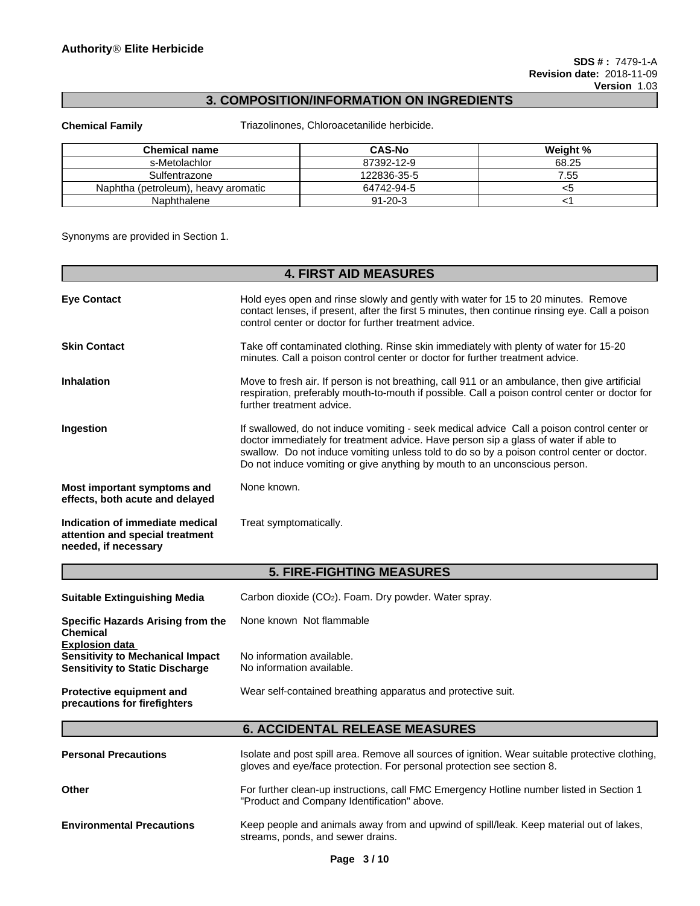# **3. COMPOSITION/INFORMATION ON INGREDIENTS**

**Chemical Family** Triazolinones, Chloroacetanilide herbicide.

| <b>Chemical name</b>                     | <b>CAS-No</b> | Weight % |
|------------------------------------------|---------------|----------|
| s-Metolachlor                            | 87392-12-9    | 68.25    |
| Sulfentrazone                            | 122836-35-5   | .55      |
| Naphtha (petroleum).<br>. heavv aromatic | 64742-94-5    | 53       |
| Naphthalene                              | $91 - 20 - 3$ |          |

Synonyms are provided in Section 1.

| <b>4. FIRST AID MEASURES</b>                                                               |                                                                                                                                                                                                                                                                                                                                                                |  |
|--------------------------------------------------------------------------------------------|----------------------------------------------------------------------------------------------------------------------------------------------------------------------------------------------------------------------------------------------------------------------------------------------------------------------------------------------------------------|--|
| <b>Eye Contact</b>                                                                         | Hold eyes open and rinse slowly and gently with water for 15 to 20 minutes. Remove<br>contact lenses, if present, after the first 5 minutes, then continue rinsing eye. Call a poison<br>control center or doctor for further treatment advice.                                                                                                                |  |
| <b>Skin Contact</b>                                                                        | Take off contaminated clothing. Rinse skin immediately with plenty of water for 15-20<br>minutes. Call a poison control center or doctor for further treatment advice.                                                                                                                                                                                         |  |
| <b>Inhalation</b>                                                                          | Move to fresh air. If person is not breathing, call 911 or an ambulance, then give artificial<br>respiration, preferably mouth-to-mouth if possible. Call a poison control center or doctor for<br>further treatment advice.                                                                                                                                   |  |
| Ingestion                                                                                  | If swallowed, do not induce vomiting - seek medical advice Call a poison control center or<br>doctor immediately for treatment advice. Have person sip a glass of water if able to<br>swallow. Do not induce vomiting unless told to do so by a poison control center or doctor.<br>Do not induce vomiting or give anything by mouth to an unconscious person. |  |
| Most important symptoms and<br>effects, both acute and delayed                             | None known.                                                                                                                                                                                                                                                                                                                                                    |  |
| Indication of immediate medical<br>attention and special treatment<br>needed, if necessary | Treat symptomatically.                                                                                                                                                                                                                                                                                                                                         |  |

| <b>5. FIRE-FIGHTING MEASURES</b>                                                  |                                                                   |  |
|-----------------------------------------------------------------------------------|-------------------------------------------------------------------|--|
| <b>Suitable Extinguishing Media</b>                                               | Carbon dioxide (CO <sub>2</sub> ). Foam. Dry powder. Water spray. |  |
| Specific Hazards Arising from the<br>Chemical<br>Explosion data                   | None known Not flammable                                          |  |
| <b>Sensitivity to Mechanical Impact</b><br><b>Sensitivity to Static Discharge</b> | No information available.<br>No information available.            |  |
| <b>Protective equipment and</b><br>precautions for firefighters                   | Wear self-contained breathing apparatus and protective suit.      |  |
|                                                                                   | <b>6. ACCIDENTAL RELEASE MEASURES</b>                             |  |
|                                                                                   |                                                                   |  |

| <b>Personal Precautions</b>      | Isolate and post spill area. Remove all sources of ignition. Wear suitable protective clothing,<br>gloves and eye/face protection. For personal protection see section 8. |
|----------------------------------|---------------------------------------------------------------------------------------------------------------------------------------------------------------------------|
| <b>Other</b>                     | For further clean-up instructions, call FMC Emergency Hotline number listed in Section 1<br>"Product and Company Identification" above.                                   |
| <b>Environmental Precautions</b> | Keep people and animals away from and upwind of spill/leak. Keep material out of lakes,<br>streams, ponds, and sewer drains.                                              |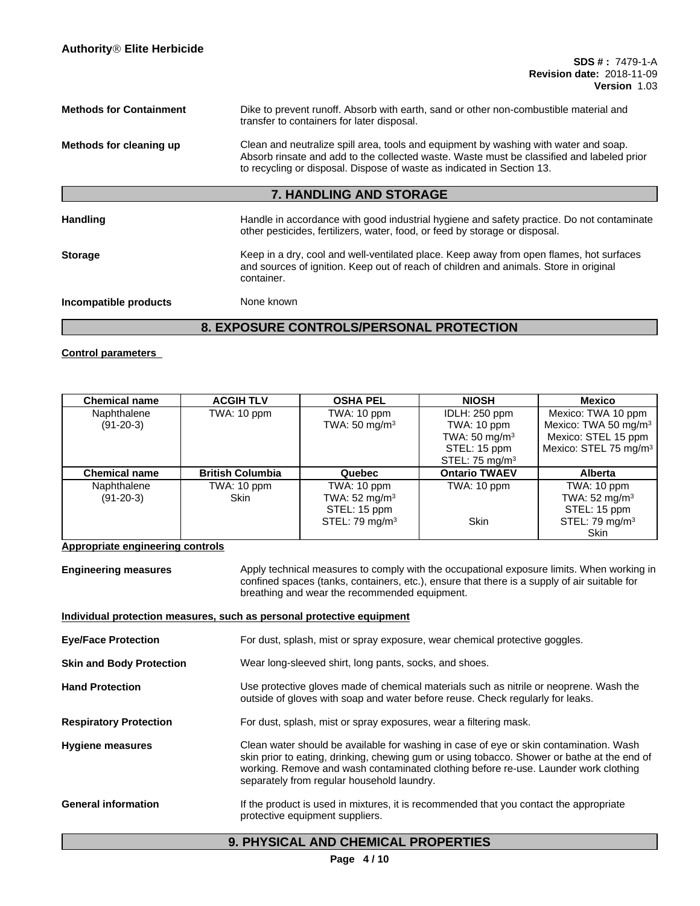| <b>Methods for Containment</b> | Dike to prevent runoff. Absorb with earth, sand or other non-combustible material and<br>transfer to containers for later disposal.                                                                                                                         |
|--------------------------------|-------------------------------------------------------------------------------------------------------------------------------------------------------------------------------------------------------------------------------------------------------------|
| Methods for cleaning up        | Clean and neutralize spill area, tools and equipment by washing with water and soap.<br>Absorb rinsate and add to the collected waste. Waste must be classified and labeled prior<br>to recycling or disposal. Dispose of waste as indicated in Section 13. |
|                                | 7. HANDLING AND STORAGE                                                                                                                                                                                                                                     |
| Handling                       | Handle in accordance with good industrial hygiene and safety practice. Do not contaminate<br>other pesticides, fertilizers, water, food, or feed by storage or disposal.                                                                                    |
| <b>Storage</b>                 | Keep in a dry, cool and well-ventilated place. Keep away from open flames, hot surfaces<br>and sources of ignition. Keep out of reach of children and animals. Store in original<br>container.                                                              |
| Incompatible products          | None known                                                                                                                                                                                                                                                  |

# **8. EXPOSURE CONTROLS/PERSONAL PROTECTION**

**Control parameters**

| <b>Chemical name</b> | <b>ACGIH TLV</b>        | <b>OSHA PEL</b>          | <b>NIOSH</b>             | Mexico                            |
|----------------------|-------------------------|--------------------------|--------------------------|-----------------------------------|
| Naphthalene          | TWA: 10 ppm             | TWA: 10 ppm              | IDLH: 250 ppm            | Mexico: TWA 10 ppm                |
| $(91-20-3)$          |                         | TWA: $50 \text{ mg/m}^3$ | TWA: 10 ppm              | Mexico: TWA 50 mg/m <sup>3</sup>  |
|                      |                         |                          | TWA: $50 \text{ mg/m}^3$ | Mexico: STEL 15 ppm               |
|                      |                         |                          | STEL: 15 ppm             | Mexico: STEL 75 mg/m <sup>3</sup> |
|                      |                         |                          | STEL: 75 $mg/m3$         |                                   |
| <b>Chemical name</b> | <b>British Columbia</b> | Quebec                   | <b>Ontario TWAEV</b>     | <b>Alberta</b>                    |
| Naphthalene          | TWA: 10 ppm             | TWA: 10 ppm              | TWA: 10 ppm              | TWA: 10 ppm                       |
| $(91-20-3)$          | Skin                    | TWA: $52 \text{ mg/m}^3$ |                          | TWA: $52 \text{ mg/m}^3$          |
|                      |                         | STEL: 15 ppm             |                          | STEL: 15 ppm                      |
|                      |                         | STEL: 79 mg/m $3$        | <b>Skin</b>              | STEL: 79 mg/m $3$                 |
|                      |                         |                          |                          | <b>Skin</b>                       |

**Appropriate engineering controls**

**Engineering measures** Apply technical measures to comply with the occupational exposure limits. When working in confined spaces (tanks, containers, etc.), ensure that there is a supply of air suitable for breathing and wear the recommended equipment.

|                                 | Individual protection measures, such as personal protective equipment                                                                                                                                                                                                                                                      |
|---------------------------------|----------------------------------------------------------------------------------------------------------------------------------------------------------------------------------------------------------------------------------------------------------------------------------------------------------------------------|
| <b>Eye/Face Protection</b>      | For dust, splash, mist or spray exposure, wear chemical protective goggles.                                                                                                                                                                                                                                                |
| <b>Skin and Body Protection</b> | Wear long-sleeved shirt, long pants, socks, and shoes.                                                                                                                                                                                                                                                                     |
| <b>Hand Protection</b>          | Use protective gloves made of chemical materials such as nitrile or neoprene. Wash the<br>outside of gloves with soap and water before reuse. Check regularly for leaks.                                                                                                                                                   |
| <b>Respiratory Protection</b>   | For dust, splash, mist or spray exposures, wear a filtering mask.                                                                                                                                                                                                                                                          |
| <b>Hygiene measures</b>         | Clean water should be available for washing in case of eye or skin contamination. Wash<br>skin prior to eating, drinking, chewing gum or using tobacco. Shower or bathe at the end of<br>working. Remove and wash contaminated clothing before re-use. Launder work clothing<br>separately from regular household laundry. |
| <b>General information</b>      | If the product is used in mixtures, it is recommended that you contact the appropriate<br>protective equipment suppliers.                                                                                                                                                                                                  |

# **9. PHYSICAL AND CHEMICAL PROPERTIES**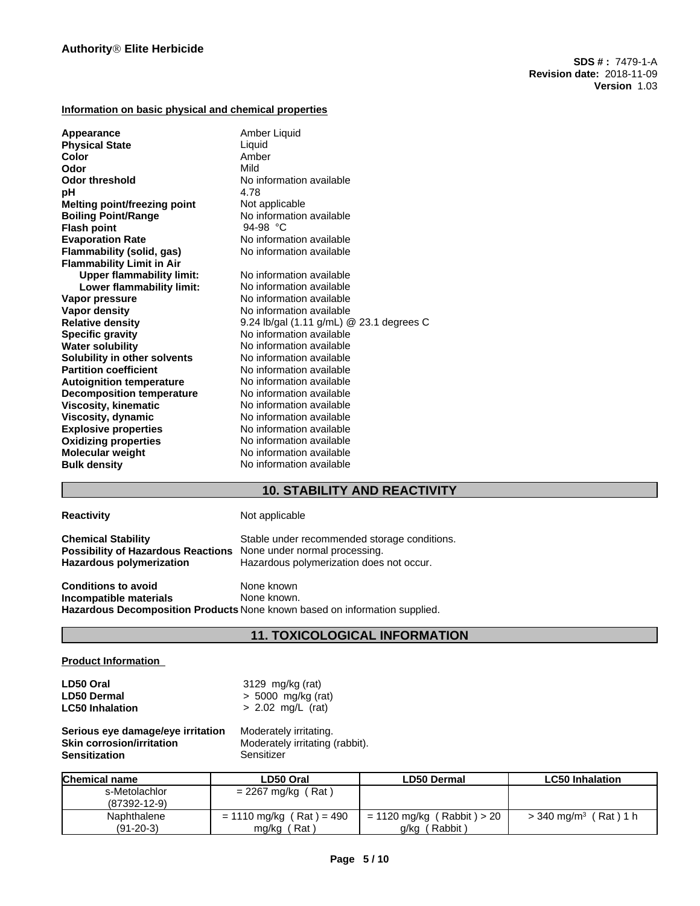## **Information on basic physical and chemical properties**

| Appearance                          | Amber Liquid                             |
|-------------------------------------|------------------------------------------|
| <b>Physical State</b><br>Color      | Liquid<br>Amber                          |
| Odor                                | Mild                                     |
|                                     |                                          |
| <b>Odor threshold</b>               | No information available                 |
| рH                                  | 4.78                                     |
| <b>Melting point/freezing point</b> | Not applicable                           |
| <b>Boiling Point/Range</b>          | No information available                 |
| <b>Flash point</b>                  | 94-98 °C                                 |
| <b>Evaporation Rate</b>             | No information available                 |
| Flammability (solid, gas)           | No information available                 |
| <b>Flammability Limit in Air</b>    |                                          |
| <b>Upper flammability limit:</b>    | No information available                 |
| Lower flammability limit:           | No information available                 |
| Vapor pressure                      | No information available                 |
| <b>Vapor density</b>                | No information available                 |
| <b>Relative density</b>             | 9.24 lb/gal (1.11 g/mL) @ 23.1 degrees C |
| <b>Specific gravity</b>             | No information available                 |
| <b>Water solubility</b>             | No information available                 |
| Solubility in other solvents        | No information available                 |
| <b>Partition coefficient</b>        | No information available                 |
| <b>Autoignition temperature</b>     | No information available                 |
| <b>Decomposition temperature</b>    | No information available                 |
| <b>Viscosity, kinematic</b>         | No information available                 |
| Viscosity, dynamic                  | No information available                 |
| <b>Explosive properties</b>         | No information available                 |
| <b>Oxidizing properties</b>         | No information available                 |
| <b>Molecular weight</b>             | No information available                 |
| <b>Bulk density</b>                 | No information available                 |
|                                     |                                          |

# **10. STABILITY AND REACTIVITY**

## **Reactivity Not applicable**

| <b>Chemical Stability</b>                 | Stable under recommended storage conditions. |
|-------------------------------------------|----------------------------------------------|
| <b>Possibility of Hazardous Reactions</b> | None under normal processing.                |
| Hazardous polymerization                  | Hazardous polymerization does not occur.     |
| <b>Conditions to avoid</b>                | None known                                   |
| Incompatible materials                    | None known.                                  |

**Hazardous Decomposition Products** None known based on information supplied.

## **11. TOXICOLOGICAL INFORMATION**

## **Product Information**

| LD50 Oral              | 3129 mg/kg (rat)     |
|------------------------|----------------------|
| <b>LD50 Dermal</b>     | $> 5000$ mg/kg (rat) |
| <b>LC50 Inhalation</b> | $> 2.02$ mg/L (rat)  |

**Serious eye damage/eye irritation** Moderately irritating. **Sensitization** 

**Moderately irritating (rabbit).**<br>Sensitizer

| <b>Chemical name</b> | LD50 Oral                  | <b>LD50 Dermal</b>           | <b>LC50 Inhalation</b>                 |
|----------------------|----------------------------|------------------------------|----------------------------------------|
| s-Metolachlor        | $= 2267$ mg/kg (Rat)       |                              |                                        |
| $(87392 - 12 - 9)$   |                            |                              |                                        |
| Naphthalene          | $= 1110$ mg/kg (Rat) = 490 | $= 1120$ mg/kg (Rabbit) > 20 | Rat ) 1 h<br>$>$ 340 mg/m <sup>3</sup> |
| $(91-20-3)$          | ˈRatˈ<br>mg/kg             | Rabbit<br>g/kg               |                                        |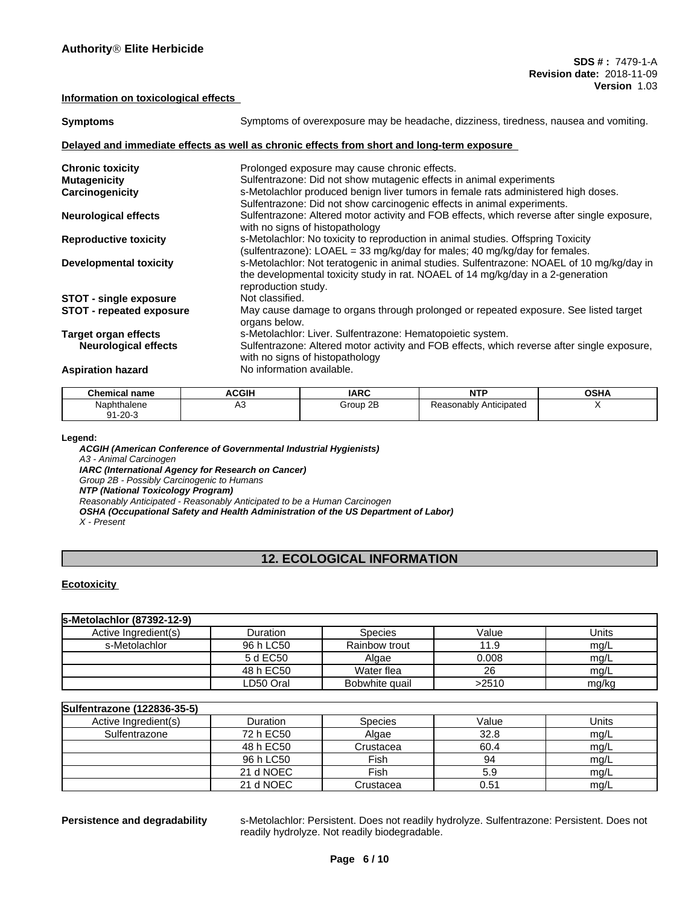#### **Information on toxicological effects**

| <b>Symptoms</b>                 | Symptoms of overexposure may be headache, dizziness, tiredness, nausea and vomiting.                                                                                                                 |
|---------------------------------|------------------------------------------------------------------------------------------------------------------------------------------------------------------------------------------------------|
|                                 | Delayed and immediate effects as well as chronic effects from short and long-term exposure                                                                                                           |
| <b>Chronic toxicity</b>         | Prolonged exposure may cause chronic effects.                                                                                                                                                        |
| <b>Mutagenicity</b>             | Sulfentrazone: Did not show mutagenic effects in animal experiments                                                                                                                                  |
| Carcinogenicity                 | s-Metolachlor produced benign liver tumors in female rats administered high doses.                                                                                                                   |
|                                 | Sulfentrazone: Did not show carcinogenic effects in animal experiments.                                                                                                                              |
| <b>Neurological effects</b>     | Sulfentrazone: Altered motor activity and FOB effects, which reverse after single exposure,<br>with no signs of histopathology                                                                       |
| <b>Reproductive toxicity</b>    | s-Metolachlor: No toxicity to reproduction in animal studies. Offspring Toxicity<br>(sulfentrazone): LOAEL = 33 mg/kg/day for males; 40 mg/kg/day for females.                                       |
| <b>Developmental toxicity</b>   | s-Metolachlor: Not teratogenic in animal studies. Sulfentrazone: NOAEL of 10 mg/kg/day in<br>the developmental toxicity study in rat. NOAEL of 14 mg/kg/day in a 2-generation<br>reproduction study. |
| <b>STOT - single exposure</b>   | Not classified.                                                                                                                                                                                      |
| <b>STOT - repeated exposure</b> | May cause damage to organs through prolonged or repeated exposure. See listed target<br>organs below.                                                                                                |
| <b>Target organ effects</b>     | s-Metolachlor: Liver. Sulfentrazone: Hematopoietic system.                                                                                                                                           |
| <b>Neurological effects</b>     | Sulfentrazone: Altered motor activity and FOB effects, which reverse after single exposure,<br>with no signs of histopathology                                                                       |
| <b>Aspiration hazard</b>        | No information available.                                                                                                                                                                            |

| Chemical name                    | <b>ACGIH</b> | <b>IARC</b>        | <b>NTP</b>             | <b>OSHA</b> |
|----------------------------------|--------------|--------------------|------------------------|-------------|
| Naphthalene<br>$1 - 20 - 3$<br>ົ | πυ<br>$\sim$ | $\sim$<br>Group 2B | Reasonably Anticipated |             |
|                                  |              |                    |                        |             |

#### **Legend:**

*ACGIH (American Conference of Governmental Industrial Hygienists) A3 - Animal Carcinogen IARC (International Agency for Research on Cancer) Group 2B - Possibly Carcinogenic to Humans NTP (National Toxicology Program) Reasonably Anticipated - Reasonably Anticipated to be a Human Carcinogen OSHA (Occupational Safety and Health Administration of the US Department of Labor) X - Present*

# **12. ECOLOGICAL INFORMATION**

## **Ecotoxicity**

| s-Metolachlor (87392-12-9) |           |                |       |       |
|----------------------------|-----------|----------------|-------|-------|
| Active Ingredient(s)       | Duration  | <b>Species</b> | Value | Units |
| s-Metolachlor              | 96 h LC50 | Rainbow trout  | 11.9  | mg/L  |
|                            | 5 d EC50  | Algae          | 0.008 | mg/L  |
|                            | 48 h EC50 | Water flea     | 26    | mg/L  |
|                            | LD50 Oral | Bobwhite quail | >2510 | mg/kg |

## **Sulfentrazone (122836-35-5)**

| NUMBER OF THE STATE OF A |           |                |       |       |
|--------------------------|-----------|----------------|-------|-------|
| Active Ingredient(s)     | Duration  | <b>Species</b> | Value | Units |
| Sulfentrazone            | 72 h EC50 | Algae          | 32.8  | mg/L  |
|                          | 48 h EC50 | Crustacea      | 60.4  | mg/L  |
|                          | 96 h LC50 | Fish           | 94    | mg/L  |
|                          | 21 d NOEC | Fish           | 5.9   | mq/L  |
|                          | 21 d NOEC | Crustacea      | 0.51  | mg/L  |

**Persistence and degradability** s-Metolachlor: Persistent. Does not readily hydrolyze. Sulfentrazone: Persistent. Does not readily hydrolyze. Not readily biodegradable.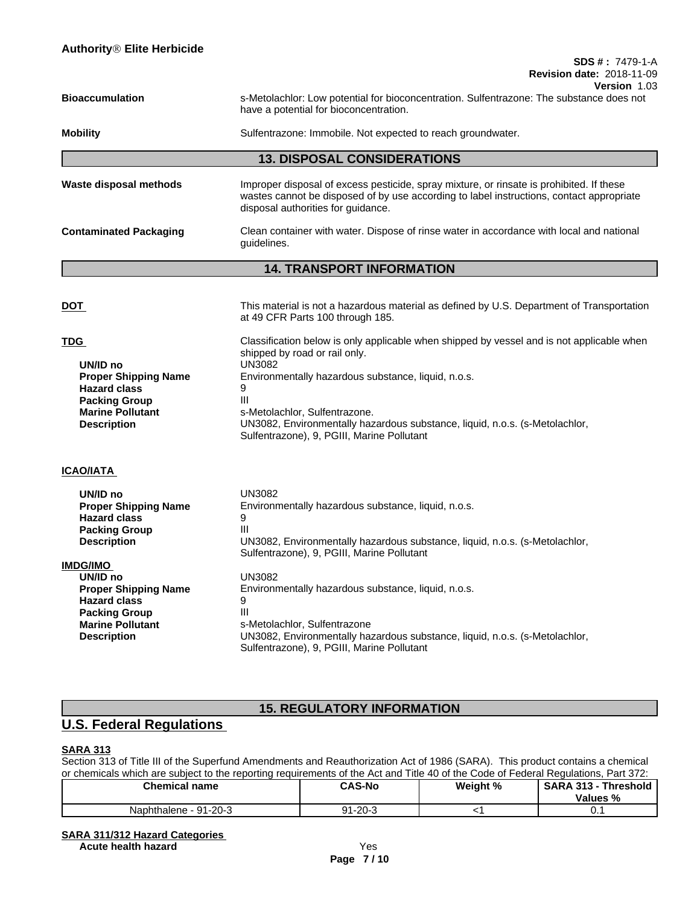| <b>Bioaccumulation</b> | s-Metolachlor: Low potential for bioconcentration. Sulfentrazone: The substance does not |  |
|------------------------|------------------------------------------------------------------------------------------|--|
|                        | have a potential for bioconcentration.                                                   |  |
|                        |                                                                                          |  |

**Mobility** Sulfentrazone: Immobile. Not expected to reach groundwater.

# **13. DISPOSAL CONSIDERATIONS**

| Waste disposal methods        | Improper disposal of excess pesticide, spray mixture, or rinsate is prohibited. If these<br>wastes cannot be disposed of by use according to label instructions, contact appropriate<br>disposal authorities for quidance. |
|-------------------------------|----------------------------------------------------------------------------------------------------------------------------------------------------------------------------------------------------------------------------|
| <b>Contaminated Packaging</b> | Clean container with water. Dispose of rinse water in accordance with local and national<br>quidelines.                                                                                                                    |

# **14. TRANSPORT INFORMATION**

| <u>DOT</u>                                                                                                                                     | This material is not a hazardous material as defined by U.S. Department of Transportation<br>at 49 CFR Parts 100 through 185.                                                                                                                                                                                                                                                |
|------------------------------------------------------------------------------------------------------------------------------------------------|------------------------------------------------------------------------------------------------------------------------------------------------------------------------------------------------------------------------------------------------------------------------------------------------------------------------------------------------------------------------------|
| TDG<br>UN/ID no<br><b>Proper Shipping Name</b><br><b>Hazard class</b><br><b>Packing Group</b><br><b>Marine Pollutant</b><br><b>Description</b> | Classification below is only applicable when shipped by vessel and is not applicable when<br>shipped by road or rail only.<br><b>UN3082</b><br>Environmentally hazardous substance, liquid, n.o.s.<br>9<br>III<br>s-Metolachlor, Sulfentrazone.<br>UN3082, Environmentally hazardous substance, liquid, n.o.s. (s-Metolachlor,<br>Sulfentrazone), 9, PGIII, Marine Pollutant |
| ICAO/IATA                                                                                                                                      |                                                                                                                                                                                                                                                                                                                                                                              |
| UN/ID no<br><b>Proper Shipping Name</b><br><b>Hazard class</b><br><b>Packing Group</b><br><b>Description</b><br><b>IMDG/IMO</b>                | <b>UN3082</b><br>Environmentally hazardous substance, liquid, n.o.s.<br>9<br>III<br>UN3082, Environmentally hazardous substance, liquid, n.o.s. (s-Metolachlor,<br>Sulfentrazone), 9, PGIII, Marine Pollutant                                                                                                                                                                |
| UN/ID no<br><b>Proper Shipping Name</b><br><b>Hazard class</b><br><b>Packing Group</b><br><b>Marine Pollutant</b><br><b>Description</b>        | <b>UN3082</b><br>Environmentally hazardous substance, liquid, n.o.s.<br>9<br>Ш<br>s-Metolachlor, Sulfentrazone<br>UN3082, Environmentally hazardous substance, liquid, n.o.s. (s-Metolachlor,<br>Sulfentrazone), 9, PGIII, Marine Pollutant                                                                                                                                  |
|                                                                                                                                                |                                                                                                                                                                                                                                                                                                                                                                              |

# **15. REGULATORY INFORMATION**

# **U.S. Federal Regulations**

## **SARA 313**

Section 313 of Title III of the Superfund Amendments and Reauthorization Act of 1986 (SARA). This product contains a chemical or chemicals which are subject to the reporting requirements of the Act and Title 40 of the Code of Federal Regulations, Part 372:

| <b>Chemical name</b>       | <b>CAS-No</b>       | Weight % | <b>SARA 313</b><br><b>Threshold</b><br>Values % |
|----------------------------|---------------------|----------|-------------------------------------------------|
| : - 91-20-3<br>Naphthalene | 11-20-3<br>n1<br>ອ∣ |          | v.                                              |

# **SARA 311/312 Hazard Categories**

**Acute health hazard** Yes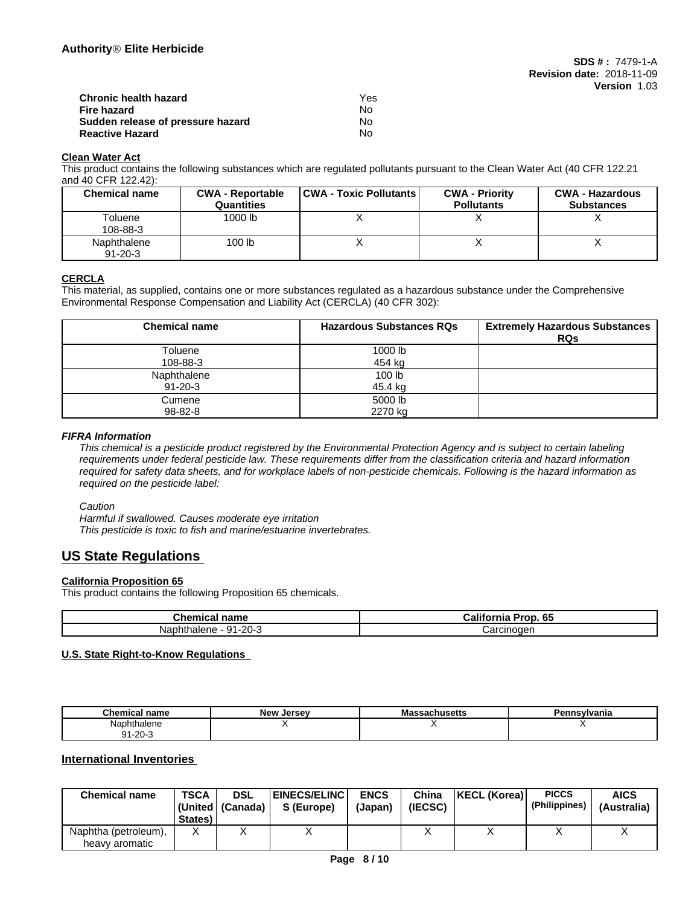| Chronic health hazard             | Yes |  |
|-----------------------------------|-----|--|
| Fire hazard                       | No. |  |
| Sudden release of pressure hazard | No. |  |
| <b>Reactive Hazard</b>            | N٥  |  |

## **Clean Water Act**

This product contains the following substances which are regulated pollutants pursuant to the Clean Water Act (40 CFR 122.21 and 40 CFR 122.42):

| <b>Chemical name</b>         | <b>CWA - Reportable</b><br><b>Quantities</b> | <b>CWA - Toxic Pollutants  </b> | <b>CWA - Priority</b><br><b>Pollutants</b> | <b>CWA - Hazardous</b><br><b>Substances</b> |
|------------------------------|----------------------------------------------|---------------------------------|--------------------------------------------|---------------------------------------------|
| Toluene<br>108-88-3          | 1000 lb                                      | $\lambda$                       |                                            |                                             |
| Naphthalene<br>$91 - 20 - 3$ | 100 lb                                       |                                 |                                            |                                             |

## **CERCLA**

This material, as supplied, contains one or more substances regulated as a hazardous substance under the Comprehensive Environmental Response Compensation and Liability Act (CERCLA) (40 CFR 302):

| <b>Chemical name</b> | <b>Hazardous Substances RQs</b> | <b>Extremely Hazardous Substances</b><br><b>RQs</b> |
|----------------------|---------------------------------|-----------------------------------------------------|
| Toluene              | 1000 lb                         |                                                     |
| 108-88-3             | 454 kg                          |                                                     |
| Naphthalene          | 100 lb                          |                                                     |
| $91 - 20 - 3$        | 45.4 kg                         |                                                     |
| Cumene               | 5000 lb                         |                                                     |
| 98-82-8              | 2270 kg                         |                                                     |

### *FIFRA Information*

This chemical is a pesticide product registered by the Environmental Protection Agency and is subject to certain labeling requirements under federal pesticide law. These requirements differ from the classification criteria and hazard information required for safety data sheets, and for workplace labels of non-pesticide chemicals. Following is the hazard information as *required on the pesticide label:*

### *Caution*

*Harmful if swallowed. Causes moderate eye irritation This pesticide is toxic to fish and marine/estuarine invertebrates.*

# **US State Regulations**

## **California Proposition 65**

This product contains the following Proposition 65 chemicals.

| $\sim$<br>∴hemٺ<br>name<br>ншсаг     | .<br>65<br>$T$ ron. u.<br>-----<br>Jalif<br>ша |
|--------------------------------------|------------------------------------------------|
| -20-<br>14<br>Nap.<br>זו<br>ы<br>че. | $   -$<br>эн к<br>$\overline{\phantom{a}}$     |

## **U.S. State Right-to-Know Regulations**

| $\sim$<br>Chemical name  | . Jersev<br>New | massachusetts | n.<br>`nsylvania |
|--------------------------|-----------------|---------------|------------------|
| Naphthalene              |                 |               |                  |
| ∕ 1-20-1<br>$\mathbf{A}$ |                 |               |                  |

## **International Inventories**

| <b>Chemical name</b>                   | <b>TSCA</b><br>States) | <b>DSL</b><br>  (United   (Canada) | <b>EINECS/ELINC</b><br>S (Europe) | <b>ENCS</b><br>(Japan) | China<br>(IECSC) | <b>KECL (Korea)</b> | <b>PICCS</b><br>(Philippines) | <b>AICS</b><br>(Australia) |
|----------------------------------------|------------------------|------------------------------------|-----------------------------------|------------------------|------------------|---------------------|-------------------------------|----------------------------|
| Naphtha (petroleum),<br>heavy aromatic | $\sqrt{}$<br>Λ         |                                    |                                   |                        |                  |                     |                               |                            |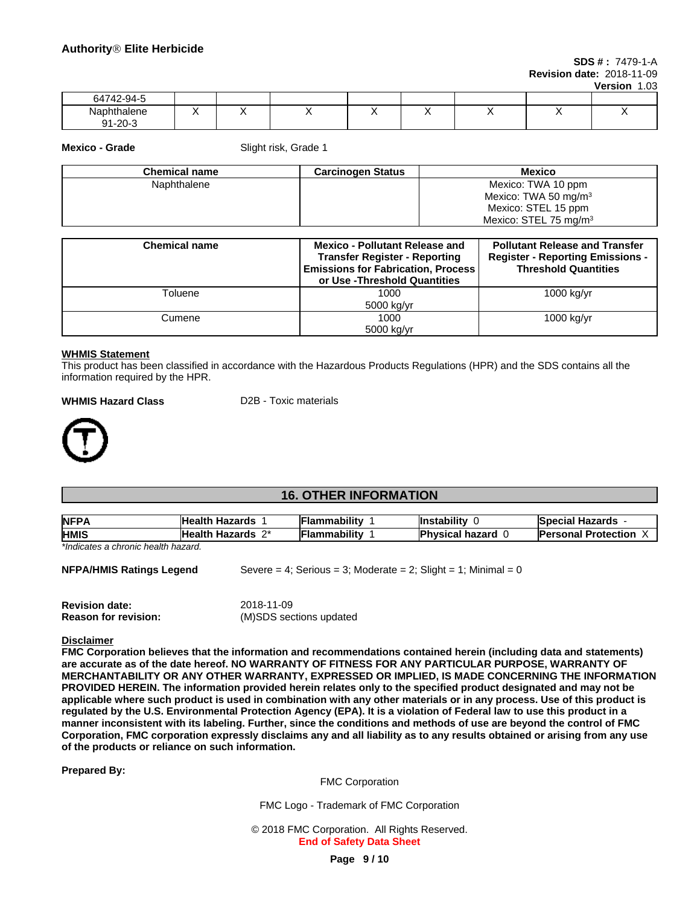**SDS # :** 7479-1-A **Revision date:** 2018-11-09

**Version** 1.03

| 64742-94-5                     |            |  |  |     |  |
|--------------------------------|------------|--|--|-----|--|
| Naphthalen⊾<br>91-20- <i>≏</i> | . .<br>. . |  |  | . . |  |

**Mexico - Grade** Slight risk, Grade 1

| <b>Chemical name</b> | <b>Carcinogen Status</b> | <b>Mexico</b>                     |
|----------------------|--------------------------|-----------------------------------|
| Naphthalene          |                          | Mexico: TWA 10 ppm                |
|                      |                          | Mexico: TWA 50 mg/m <sup>3</sup>  |
|                      |                          | Mexico: STEL 15 ppm               |
|                      |                          | Mexico: STEL 75 mg/m <sup>3</sup> |

| <b>Chemical name</b> | <b>Mexico - Pollutant Release and</b><br><b>Transfer Register - Reporting</b><br><b>Emissions for Fabrication, Process</b><br>or Use -Threshold Quantities | <b>Pollutant Release and Transfer</b><br><b>Register - Reporting Emissions -</b><br><b>Threshold Quantities</b> |
|----------------------|------------------------------------------------------------------------------------------------------------------------------------------------------------|-----------------------------------------------------------------------------------------------------------------|
| Toluene              | 1000                                                                                                                                                       | 1000 kg/yr                                                                                                      |
|                      | 5000 kg/yr                                                                                                                                                 |                                                                                                                 |
| Cumene               | 1000                                                                                                                                                       | 1000 kg/yr                                                                                                      |
|                      | 5000 kg/yr                                                                                                                                                 |                                                                                                                 |

#### **WHMIS Statement**

This product has been classified in accordance with the Hazardous Products Regulations (HPR) and the SDS contains all the information required by the HPR.

#### **WHMIS Hazard Class** D2B - Toxic materials



# **16. OTHER INFORMATION**

| <b>NFPA</b>                         | <b>Health Hazards</b> | Flammabilitv        | <b>Instability</b>     | <b>Special Hazards</b>     |
|-------------------------------------|-----------------------|---------------------|------------------------|----------------------------|
| <b>HMIS</b>                         | Health Hazards 2*     | <b>Flammability</b> | <b>Physical hazard</b> | <b>Personal Protection</b> |
| *Indicates a chronic health hazard. |                       |                     |                        |                            |

**NFPA/HMIS Ratings Legend** Severe = 4; Serious = 3; Moderate = 2; Slight = 1; Minimal = 0

| <b>Revision date:</b>       | 2018-11-09              |
|-----------------------------|-------------------------|
| <b>Reason for revision:</b> | (M)SDS sections updated |

#### **Disclaimer**

**FMC Corporation believes that the information and recommendations contained herein (including data and statements) are accurate as of the date hereof. NO WARRANTY OF FITNESS FOR ANY PARTICULAR PURPOSE, WARRANTY OF MERCHANTABILITY OR ANY OTHER WARRANTY, EXPRESSED OR IMPLIED, IS MADE CONCERNING THE INFORMATION** PROVIDED HEREIN. The information provided herein relates only to the specified product designated and may not be applicable where such product is used in combination with any other materials or in any process. Use of this product is regulated by the U.S. Environmental Protection Agency (EPA). It is a violation of Federal law to use this product in a manner inconsistent with its labeling. Further, since the conditions and methods of use are beyond the control of FMC Corporation, FMC corporation expressly disclaims any and all liability as to any results obtained or arising from any use **of the products or reliance on such information.**

**Prepared By:**

FMC Corporation

FMC Logo - Trademark of FMC Corporation

© 2018 FMC Corporation. All Rights Reserved. **End of Safety Data Sheet**